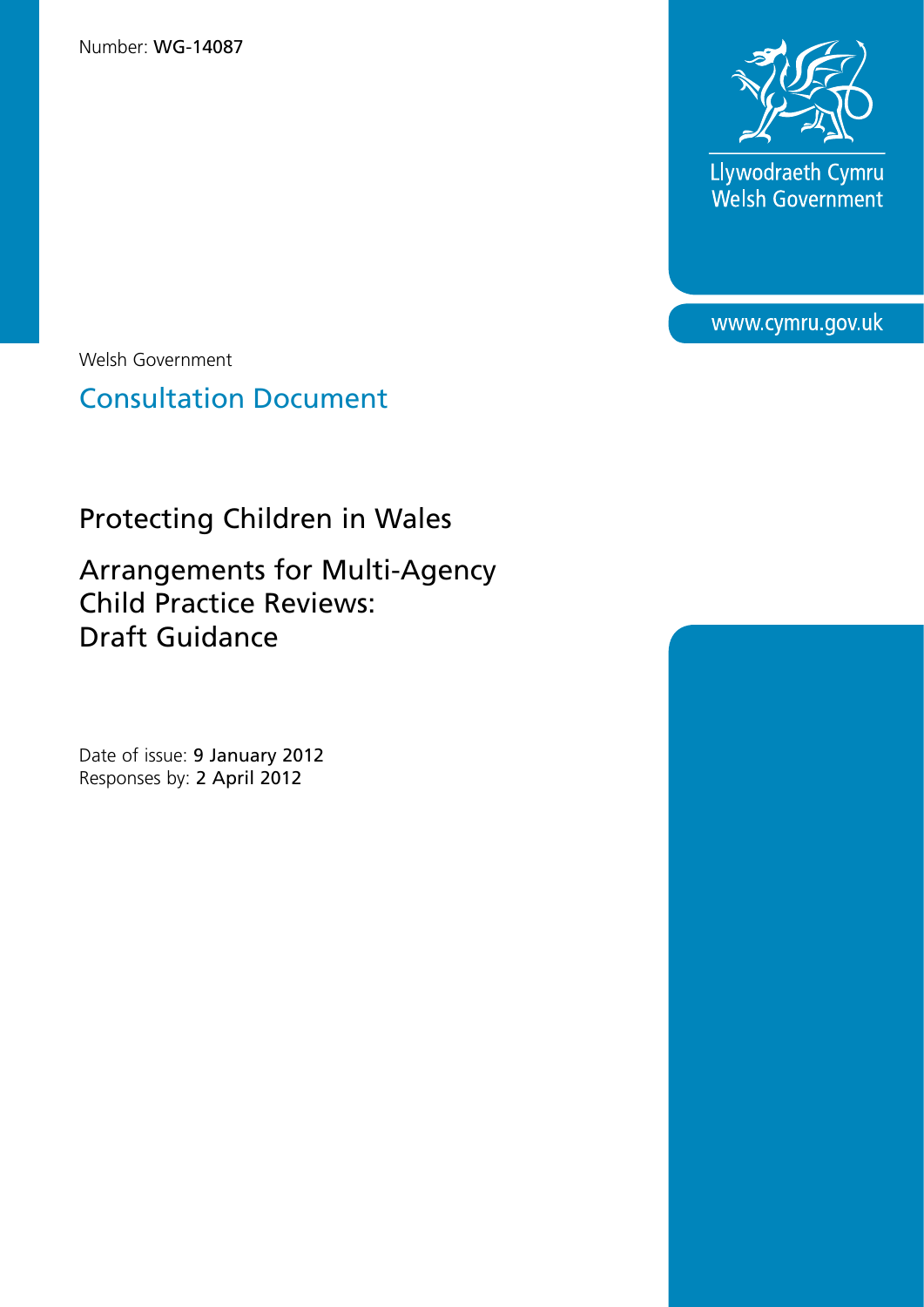

Llywodraeth Cymru<br>Welsh Government

www.cymru.gov.uk

Welsh Government

Consultation Document

Protecting Children in Wales

Arrangements for Multi-Agency Child Practice Reviews: Draft Guidance

Date of issue: 9 January 2012 Responses by: 2 April 2012

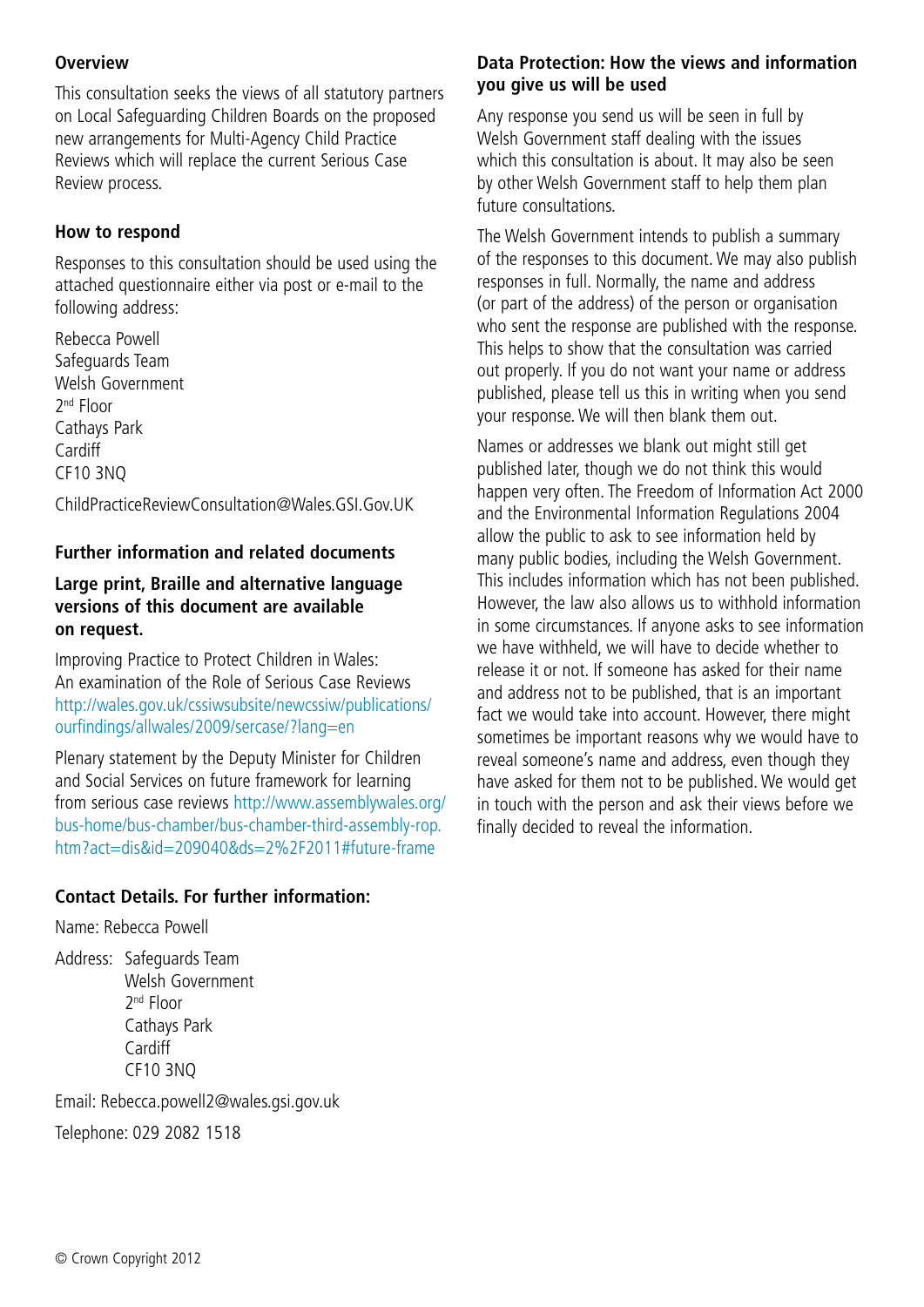### **Overview**

This consultation seeks the views of all statutory partners on Local Safeguarding Children Boards on the proposed new arrangements for Multi-Agency Child Practice Reviews which will replace the current Serious Case Review process.

### **How to respond**

Responses to this consultation should be used using the attached questionnaire either via post or e-mail to the following address:

Rebecca Powell Safeguards Team Welsh Government 2nd Floor Cathays Park Cardiff CF10 3NQ

ChildPracticeReviewConsultation@Wales.GSI.Gov.UK

### **Further information and related documents**

### **Large print, Braille and alternative language versions of this document are available on request.**

Improving Practice to Protect Children in Wales: An examination of the Role of Serious Case Reviews [http://wales.gov.uk/cssiwsubsite/newcssiw/publications/](http://wales.gov.uk/cssiwsubsite/newcssiw/publications/ourfindings/allwales/2009/sercase/?lang=en) [ourfindings/allwales/2009/sercase/?lang=en](http://wales.gov.uk/cssiwsubsite/newcssiw/publications/ourfindings/allwales/2009/sercase/?lang=en)

Plenary statement by the Deputy Minister for Children and Social Services on future framework for learning from serious case reviews [http://www.assemblywales.org/](http://www.assemblywales.org/bus-home/bus-chamber/bus-chamber-third-assembly-rop.htm?act=dis&id=209040&ds=2%2F2011#future-frame) [bus-home/bus-chamber/bus-chamber-third-assembly-rop.](http://www.assemblywales.org/bus-home/bus-chamber/bus-chamber-third-assembly-rop.htm?act=dis&id=209040&ds=2%2F2011#future-frame) [htm?act=dis&id=209040&ds=2%2F2011#future-frame](http://www.assemblywales.org/bus-home/bus-chamber/bus-chamber-third-assembly-rop.htm?act=dis&id=209040&ds=2%2F2011#future-frame)

### **Contact Details. For further information:**

Name: Rebecca Powell

Address: Safeguards Team Welsh Government 2nd Floor Cathays Park **Cardiff** CF10 3NQ

Email: Rebecca.powell2@wales.gsi.gov.uk Telephone: 029 2082 1518

### **Data Protection: How the views and information you give us will be used**

Any response you send us will be seen in full by Welsh Government staff dealing with the issues which this consultation is about. It may also be seen by other Welsh Government staff to help them plan future consultations.

The Welsh Government intends to publish a summary of the responses to this document. We may also publish responses in full. Normally, the name and address (or part of the address) of the person or organisation who sent the response are published with the response. This helps to show that the consultation was carried out properly. If you do not want your name or address published, please tell us this in writing when you send your response. We will then blank them out.

Names or addresses we blank out might still get published later, though we do not think this would happen very often. The Freedom of Information Act 2000 and the Environmental Information Regulations 2004 allow the public to ask to see information held by many public bodies, including the Welsh Government. This includes information which has not been published. However, the law also allows us to withhold information in some circumstances. If anyone asks to see information we have withheld, we will have to decide whether to release it or not. If someone has asked for their name and address not to be published, that is an important fact we would take into account. However, there might sometimes be important reasons why we would have to reveal someone's name and address, even though they have asked for them not to be published. We would get in touch with the person and ask their views before we finally decided to reveal the information.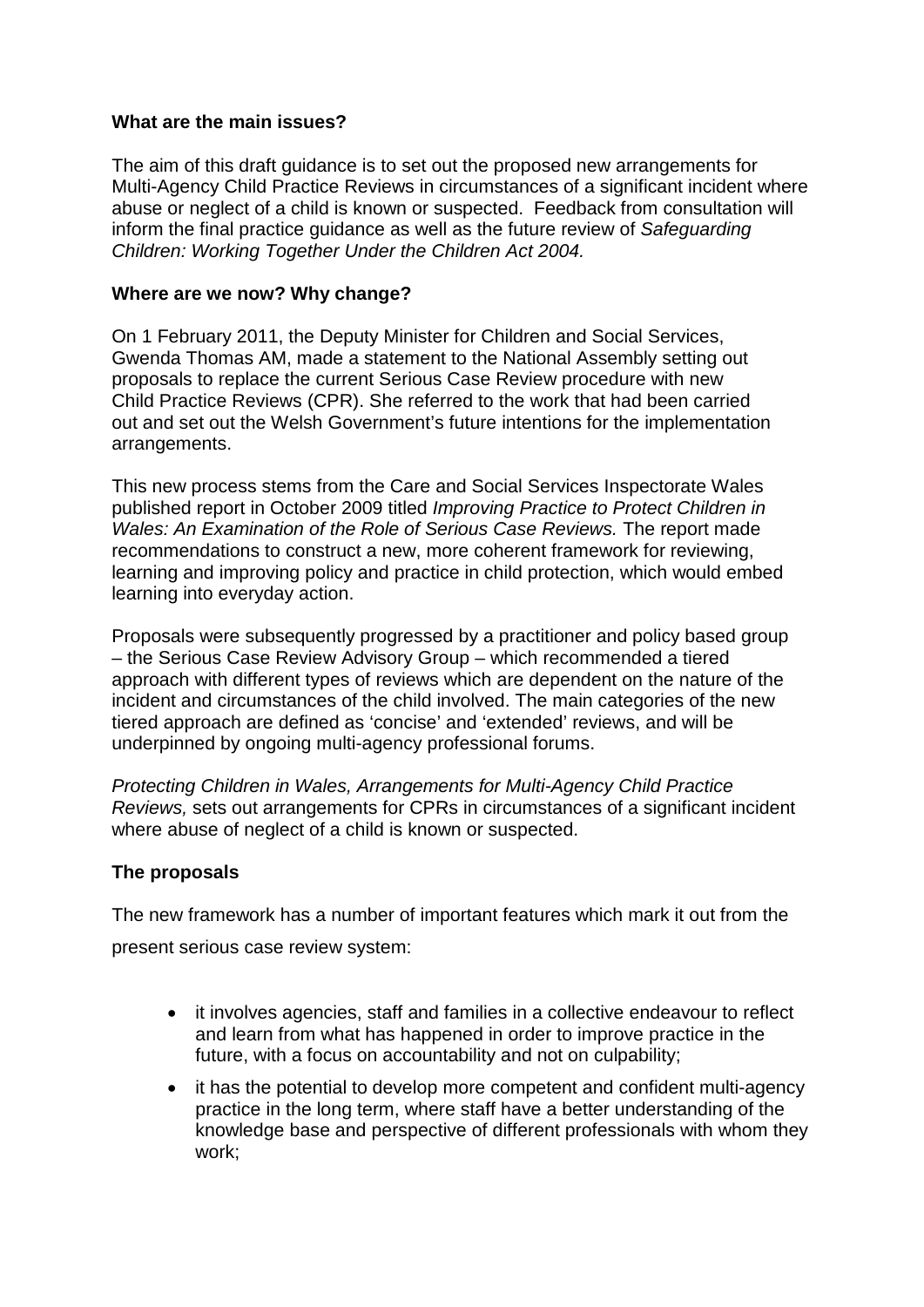### **What are the main issues?**

The aim of this draft guidance is to set out the proposed new arrangements for Multi-Agency Child Practice Reviews in circumstances of a significant incident where abuse or neglect of a child is known or suspected. Feedback from consultation will inform the final practice guidance as well as the future review of *Safeguarding Children: Working Together Under the Children Act 2004.* 

### **Where are we now? Why change?**

On 1 February 2011, the Deputy Minister for Children and Social Services, Gwenda Thomas AM, made a statement to the National Assembly setting out proposals to replace the current Serious Case Review procedure with new Child Practice Reviews (CPR). She referred to the work that had been carried out and set out the Welsh Government's future intentions for the implementation arrangements.

This new process stems from the Care and Social Services Inspectorate Wales published report in October 2009 titled *Improving Practice to Protect Children in Wales: An Examination of the Role of Serious Case Reviews.* The report made recommendations to construct a new, more coherent framework for reviewing, learning and improving policy and practice in child protection, which would embed learning into everyday action.

Proposals were subsequently progressed by a practitioner and policy based group – the Serious Case Review Advisory Group – which recommended a tiered approach with different types of reviews which are dependent on the nature of the incident and circumstances of the child involved. The main categories of the new tiered approach are defined as 'concise' and 'extended' reviews, and will be underpinned by ongoing multi-agency professional forums.

*Protecting Children in Wales, Arrangements for Multi-Agency Child Practice Reviews,* sets out arrangements for CPRs in circumstances of a significant incident where abuse of neglect of a child is known or suspected.

### **The proposals**

The new framework has a number of important features which mark it out from the present serious case review system:

- it involves agencies, staff and families in a collective endeavour to reflect and learn from what has happened in order to improve practice in the future, with a focus on accountability and not on culpability;
- it has the potential to develop more competent and confident multi-agency practice in the long term, where staff have a better understanding of the knowledge base and perspective of different professionals with whom they work;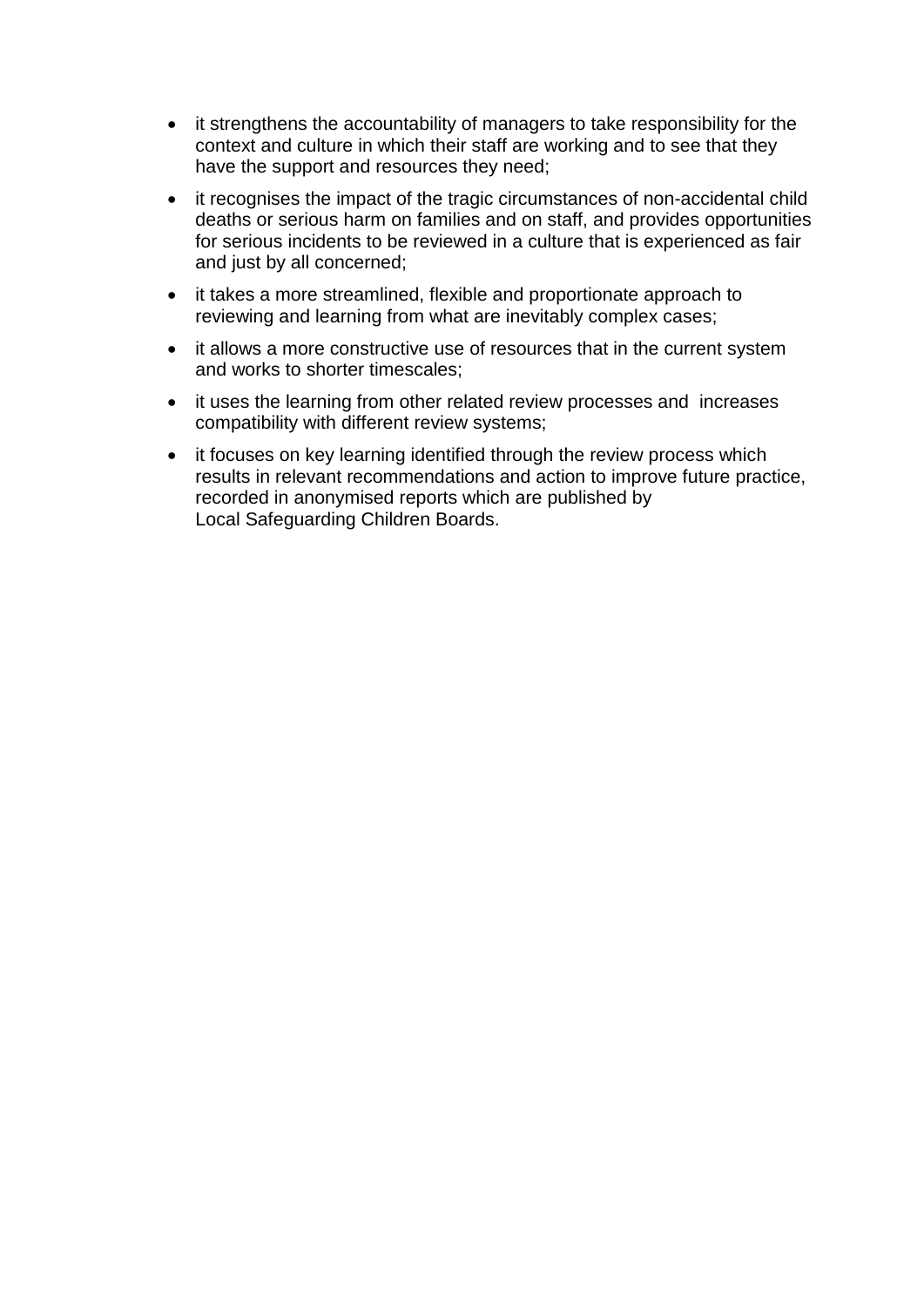- it strengthens the accountability of managers to take responsibility for the context and culture in which their staff are working and to see that they have the support and resources they need;
- it recognises the impact of the tragic circumstances of non-accidental child deaths or serious harm on families and on staff, and provides opportunities for serious incidents to be reviewed in a culture that is experienced as fair and just by all concerned;
- it takes a more streamlined, flexible and proportionate approach to reviewing and learning from what are inevitably complex cases;
- it allows a more constructive use of resources that in the current system and works to shorter timescales;
- it uses the learning from other related review processes and increases compatibility with different review systems;
- it focuses on key learning identified through the review process which results in relevant recommendations and action to improve future practice, recorded in anonymised reports which are published by Local Safeguarding Children Boards.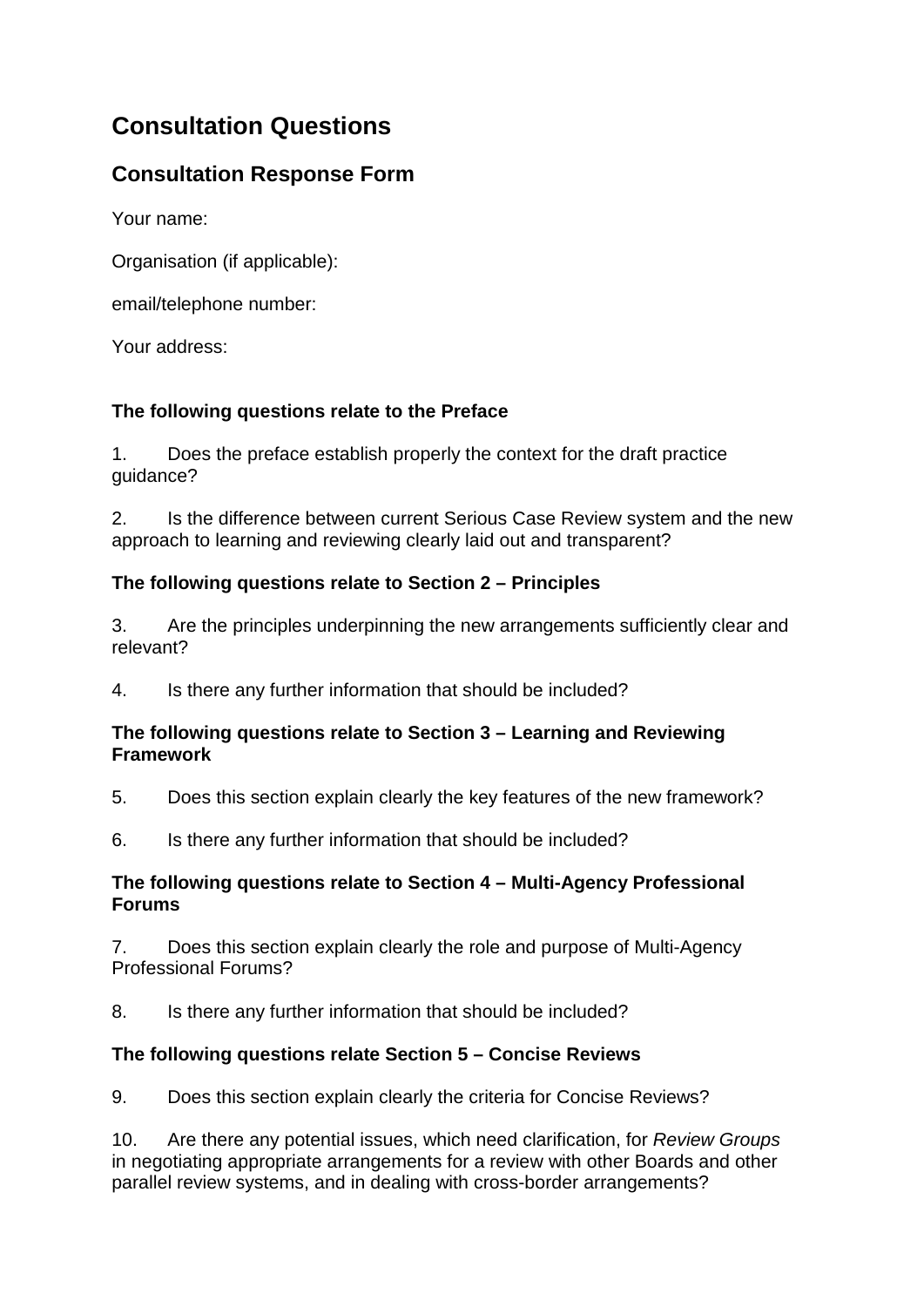# **Consultation Questions**

# **Consultation Response Form**

Your name:

Organisation (if applicable):

email/telephone number:

Your address:

# **The following questions relate to the Preface**

1. Does the preface establish properly the context for the draft practice guidance?

2. Is the difference between current Serious Case Review system and the new approach to learning and reviewing clearly laid out and transparent?

# **The following questions relate to Section 2 – Principles**

3. Are the principles underpinning the new arrangements sufficiently clear and relevant?

4. Is there any further information that should be included?

### **The following questions relate to Section 3 – Learning and Reviewing Framework**

- 5. Does this section explain clearly the key features of the new framework?
- 6. Is there any further information that should be included?

### **The following questions relate to Section 4 – Multi-Agency Professional Forums**

7. Does this section explain clearly the role and purpose of Multi-Agency Professional Forums?

8. Is there any further information that should be included?

# **The following questions relate Section 5 – Concise Reviews**

9. Does this section explain clearly the criteria for Concise Reviews?

10. Are there any potential issues, which need clarification, for *Review Groups*  in negotiating appropriate arrangements for a review with other Boards and other parallel review systems, and in dealing with cross-border arrangements?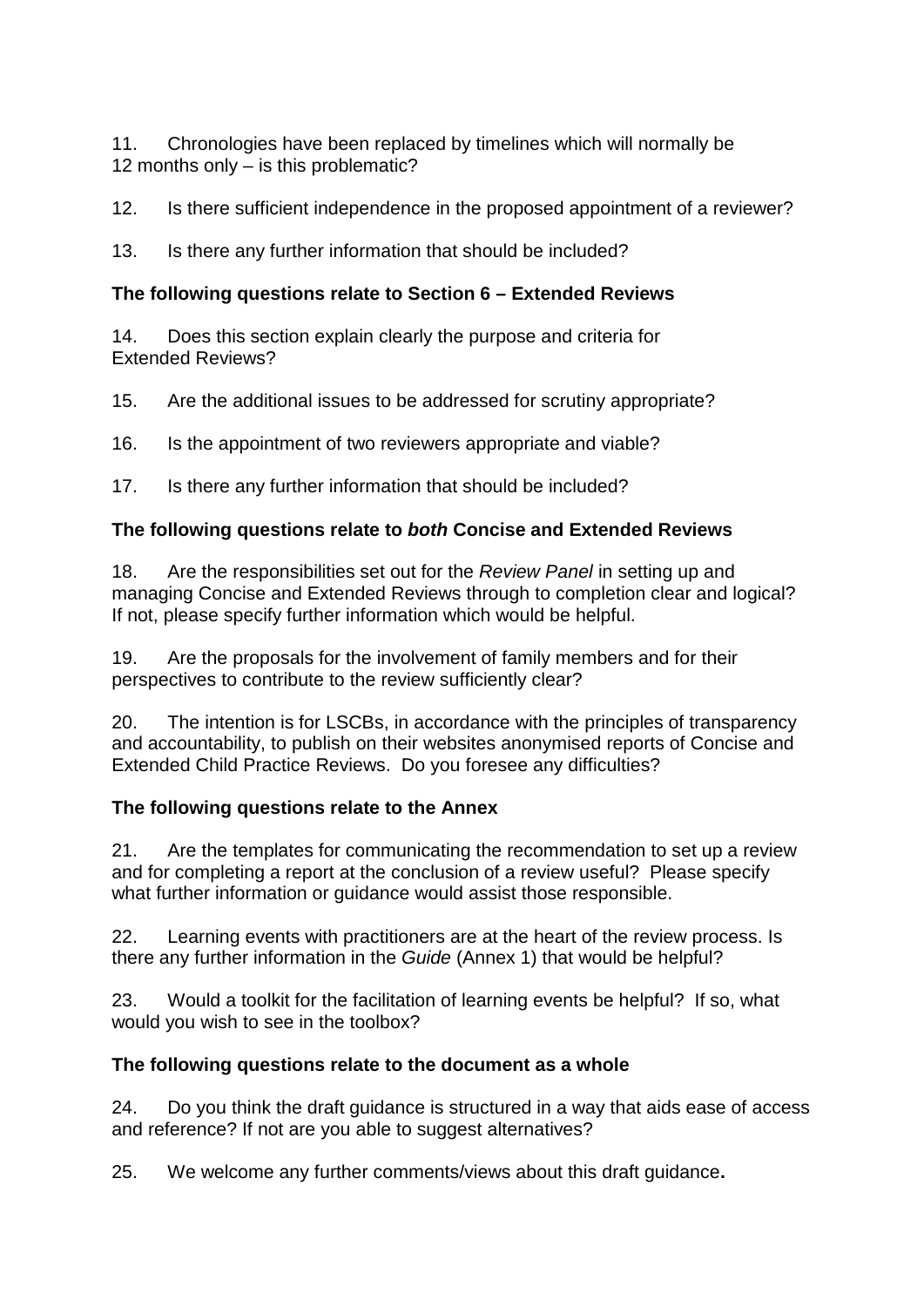11. Chronologies have been replaced by timelines which will normally be 12 months only – is this problematic?

12. Is there sufficient independence in the proposed appointment of a reviewer?

13. Is there any further information that should be included?

### **The following questions relate to Section 6 – Extended Reviews**

14. Does this section explain clearly the purpose and criteria for Extended Reviews?

15. Are the additional issues to be addressed for scrutiny appropriate?

16. Is the appointment of two reviewers appropriate and viable?

17. Is there any further information that should be included?

### **The following questions relate to** *both* **Concise and Extended Reviews**

18. Are the responsibilities set out for the *Review Panel* in setting up and managing Concise and Extended Reviews through to completion clear and logical? If not, please specify further information which would be helpful.

19. Are the proposals for the involvement of family members and for their perspectives to contribute to the review sufficiently clear?

20. The intention is for LSCBs, in accordance with the principles of transparency and accountability, to publish on their websites anonymised reports of Concise and Extended Child Practice Reviews. Do you foresee any difficulties?

### **The following questions relate to the Annex**

21. Are the templates for communicating the recommendation to set up a review and for completing a report at the conclusion of a review useful? Please specify what further information or quidance would assist those responsible.

22. Learning events with practitioners are at the heart of the review process. Is there any further information in the *Guide* (Annex 1) that would be helpful?

23. Would a toolkit for the facilitation of learning events be helpful? If so, what would you wish to see in the toolbox?

### **The following questions relate to the document as a whole**

24. Do you think the draft guidance is structured in a way that aids ease of access and reference? If not are you able to suggest alternatives?

25. We welcome any further comments/views about this draft guidance**.**